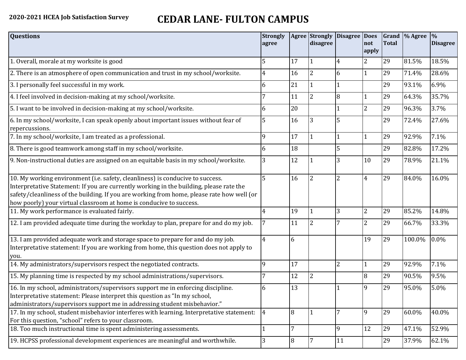# **2020-2021 HCEA Job Satisfaction Survey CEDAR LANE- FULTON CAMPUS**

| <b>Questions</b>                                                                                                                                                                                                                                                                                                                               | <b>Strongly</b><br>agree |    | disagree       | Agree Strongly Disagree Does | not<br>apply   | <b>Total</b> | Grand  % Agree | $\%$<br><b>Disagree</b> |
|------------------------------------------------------------------------------------------------------------------------------------------------------------------------------------------------------------------------------------------------------------------------------------------------------------------------------------------------|--------------------------|----|----------------|------------------------------|----------------|--------------|----------------|-------------------------|
| 1. Overall, morale at my worksite is good                                                                                                                                                                                                                                                                                                      | 5                        | 17 |                | 4                            | $\overline{2}$ | 29           | 81.5%          | 18.5%                   |
| 2. There is an atmosphere of open communication and trust in my school/worksite.                                                                                                                                                                                                                                                               | $\overline{4}$           | 16 | $\overline{2}$ | 6                            | 1              | 29           | 71.4%          | 28.6%                   |
| 3. I personally feel successful in my work.                                                                                                                                                                                                                                                                                                    | 6                        | 21 |                |                              |                | 29           | 93.1%          | 6.9%                    |
| 4. I feel involved in decision-making at my school/worksite.                                                                                                                                                                                                                                                                                   | 7                        | 11 | $\overline{2}$ | 8                            | 1              | 29           | 64.3%          | 35.7%                   |
| 5. I want to be involved in decision-making at my school/worksite.                                                                                                                                                                                                                                                                             | 6                        | 20 |                |                              | $\overline{2}$ | 29           | 96.3%          | 3.7%                    |
| 6. In my school/worksite, I can speak openly about important issues without fear of<br>repercussions.                                                                                                                                                                                                                                          | 5                        | 16 | 3              |                              |                | 29           | 72.4%          | 27.6%                   |
| 7. In my school/worksite, I am treated as a professional.                                                                                                                                                                                                                                                                                      | 9                        | 17 |                |                              | 1              | 29           | 92.9%          | 7.1%                    |
| 8. There is good teamwork among staff in my school/worksite.                                                                                                                                                                                                                                                                                   | 6                        | 18 |                | 5                            |                | 29           | 82.8%          | 17.2%                   |
| 9. Non-instructional duties are assigned on an equitable basis in my school/worksite.                                                                                                                                                                                                                                                          | 3                        | 12 |                | 3                            | 10             | 29           | 78.9%          | 21.1%                   |
| 10. My working environment (i.e. safety, cleanliness) is conducive to success.<br>Interpretative Statement: If you are currently working in the building, please rate the<br>safety/cleanliness of the building. If you are working from home, please rate how well (or<br>how poorly) your virtual classroom at home is conducive to success. | 5                        | 16 | $\overline{2}$ | 2                            | $\overline{4}$ | 29           | 84.0%          | 16.0%                   |
| 11. My work performance is evaluated fairly.                                                                                                                                                                                                                                                                                                   |                          | 19 |                | 3                            | $\overline{2}$ | 29           | 85.2%          | 14.8%                   |
| 12. I am provided adequate time during the workday to plan, prepare for and do my job.                                                                                                                                                                                                                                                         |                          | 11 | $\overline{2}$ |                              | $\overline{2}$ | 29           | 66.7%          | 33.3%                   |
| 13. I am provided adequate work and storage space to prepare for and do my job.<br>Interpretative statement: If you are working from home, this question does not apply to<br>you.                                                                                                                                                             |                          | 6  |                |                              | 19             | 29           | 100.0%         | 0.0%                    |
| 14. My administrators/supervisors respect the negotiated contracts.                                                                                                                                                                                                                                                                            | 9                        | 17 |                | $\overline{2}$               | 1              | 29           | 92.9%          | 7.1%                    |
| 15. My planning time is respected by my school administrations/supervisors.                                                                                                                                                                                                                                                                    |                          | 12 | $\overline{2}$ |                              | 8              | 29           | 90.5%          | 9.5%                    |
| 16. In my school, administrators/supervisors support me in enforcing discipline.<br>Interpretative statement: Please interpret this question as "In my school,<br>administrators/supervisors support me in addressing student misbehavior."                                                                                                    | 6                        | 13 |                |                              | 9              | 29           | 95.0%          | 5.0%                    |
| 17. In my school, student misbehavior interferes with learning. Interpretative statement:<br>For this question, "school" refers to your classroom.                                                                                                                                                                                             | 4                        | 8  | 1              | 7                            | 9              | 29           | 60.0%          | 40.0%                   |
| 18. Too much instructional time is spent administering assessments.                                                                                                                                                                                                                                                                            | 1                        | 7  |                | 9                            | 12             | 29           | 47.1%          | 52.9%                   |
| 19. HCPSS professional development experiences are meaningful and worthwhile.                                                                                                                                                                                                                                                                  | 3                        | 8  | 7              | 11                           |                | 29           | 37.9%          | 62.1%                   |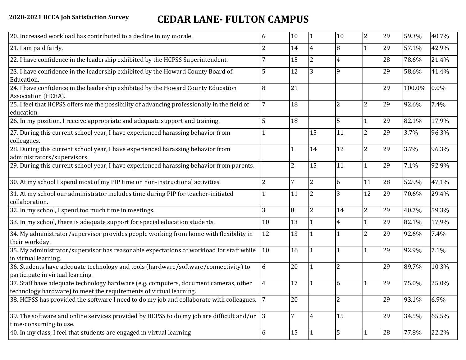### **2020-2021 HCEA Job Satisfaction Survey CEDAR LANE- FULTON CAMPUS**

| 20. Increased workload has contributed to a decline in my morale.                                                                                          | 6              | 10             |                | 10             | $\overline{2}$ | 29 | 59.3%  | 40.7% |
|------------------------------------------------------------------------------------------------------------------------------------------------------------|----------------|----------------|----------------|----------------|----------------|----|--------|-------|
| 21. I am paid fairly.                                                                                                                                      | 2              | 14             | 4              | 8              |                | 29 | 57.1%  | 42.9% |
| 22. I have confidence in the leadership exhibited by the HCPSS Superintendent.                                                                             |                | 15             | 2              |                |                | 28 | 78.6%  | 21.4% |
| 23. I have confidence in the leadership exhibited by the Howard County Board of<br>Education.                                                              | 5              | 12             | 3              | q              |                | 29 | 58.6%  | 41.4% |
| 24. I have confidence in the leadership exhibited by the Howard County Education<br>Association (HCEA).                                                    | 8              | 21             |                |                |                | 29 | 100.0% | 0.0%  |
| 25. I feel that HCPSS offers me the possibility of advancing professionally in the field of<br>education.                                                  |                | 18             |                | $\overline{2}$ | $\overline{2}$ | 29 | 92.6%  | 7.4%  |
| 26. In my position, I receive appropriate and adequate support and training.                                                                               | 5              | 18             |                | 5              | 1              | 29 | 82.1%  | 17.9% |
| 27. During this current school year, I have experienced harassing behavior from<br>colleagues.                                                             |                |                | 15             | 11             | $\overline{2}$ | 29 | 3.7%   | 96.3% |
| 28. During this current school year, I have experienced harassing behavior from<br>administrators/supervisors.                                             |                |                | 14             | 12             | $\overline{2}$ | 29 | 3.7%   | 96.3% |
| 29. During this current school year, I have experienced harassing behavior from parents.                                                                   |                | $\overline{2}$ | 15             | 11             | $\mathbf{1}$   | 29 | 7.1%   | 92.9% |
| 30. At my school I spend most of my PIP time on non-instructional activities.                                                                              | $\overline{2}$ | 7              | $\overline{2}$ | 6              | 11             | 28 | 52.9%  | 47.1% |
| 31. At my school our administrator includes time during PIP for teacher-initiated<br>collaboration.                                                        |                | 11             | $\overline{2}$ |                | 12             | 29 | 70.6%  | 29.4% |
| 32. In my school, I spend too much time in meetings.                                                                                                       | 3              | $\overline{8}$ | $\overline{2}$ | 14             | $\overline{2}$ | 29 | 40.7%  | 59.3% |
| 33. In my school, there is adequate support for special education students.                                                                                | 10             | 13             |                |                | $\mathbf{1}$   | 29 | 82.1%  | 17.9% |
| 34. My administrator/supervisor provides people working from home with flexibility in<br>their workday.                                                    | 12             | 13             |                |                | $\overline{2}$ | 29 | 92.6%  | 7.4%  |
| 35. My administrator/supervisor has reasonable expectations of workload for staff while<br>in virtual learning.                                            | 10             | 16             |                |                | $\mathbf{1}$   | 29 | 92.9%  | 7.1%  |
| 36. Students have adequate technology and tools (hardware/software/connectivity) to<br>participate in virtual learning.                                    | 6              | 20             |                | $\overline{2}$ |                | 29 | 89.7%  | 10.3% |
| 37. Staff have adequate technology hardware (e.g. computers, document cameras, other<br>technology hardware) to meet the requirements of virtual learning. | $\overline{4}$ | 17             |                | 6              | 1              | 29 | 75.0%  | 25.0% |
| 38. HCPSS has provided the software I need to do my job and collaborate with colleagues.                                                                   |                | 20             |                | $\overline{2}$ |                | 29 | 93.1%  | 6.9%  |
| 39. The software and online services provided by HCPSS to do my job are difficult and/or $\vert$ 3<br>time-consuming to use.                               |                | $\overline{7}$ | $\overline{4}$ | 15             |                | 29 | 34.5%  | 65.5% |
| 40. In my class, I feel that students are engaged in virtual learning                                                                                      | 6              | 15             |                | 5              |                | 28 | 77.8%  | 22.2% |
|                                                                                                                                                            |                |                |                |                |                |    |        |       |